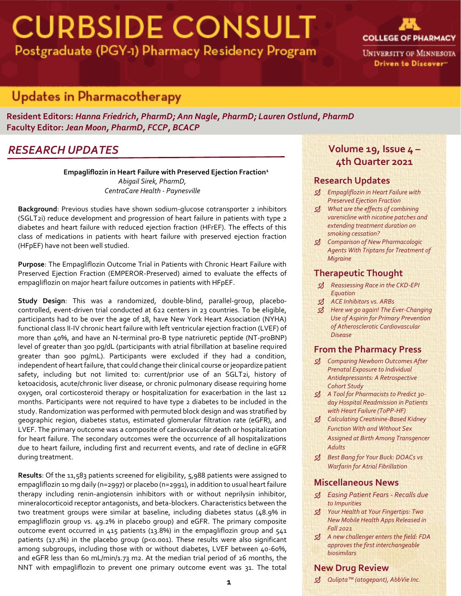# **CURBSIDE CONSULT** Postgraduate (PGY-1) Pharmacy Residency Program



Driven to Discover"

*RESEARCH UPDATES*

**Resident Editors:** *Hanna Friedrich, PharmD; Ann Nagle, PharmD; Lauren Ostlund, PharmD* **Faculty Editor:** *Jean Moon, PharmD, FCCP, BCACP*

### *RESEARCH UPDATES*

**Empagliflozin in Heart Failure with Preserved Ejection Fraction<sup>1</sup>** *Abigail Sirek, PharmD, CentraCare Health - Paynesville*

**Background**: Previous studies have shown sodium-glucose cotransporter 2 inhibitors (SGLT2i) reduce development and progression of heart failure in patients with type 2 diabetes and heart failure with reduced ejection fraction (HFrEF). The effects of this class of medications in patients with heart failure with preserved ejection fraction (HFpEF) have not been well studied.

**Purpose**: The Empagliflozin Outcome Trial in Patients with Chronic Heart Failure with Preserved Ejection Fraction (EMPEROR-Preserved) aimed to evaluate the effects of empagliflozin on major heart failure outcomes in patients with HFpEF.

**Study Design**: This was a randomized, double-blind, parallel-group, placebocontrolled, event-driven trial conducted at 622 centers in 23 countries. To be eligible, participants had to be over the age of 18, have New York Heart Association (NYHA) functional class II-IV chronic heart failure with left ventricular ejection fraction (LVEF) of more than 40%, and have an N-terminal pro-B type natriuretic peptide (NT-proBNP) level of greater than 300 pg/dL (participants with atrial fibrillation at baseline required greater than 900 pg/mL). Participants were excluded if they had a condition, independent of heart failure, that could change their clinical course or jeopardize patient safety, including but not limited to: current/prior use of an SGLT2i, history of ketoacidosis, acute/chronic liver disease, or chronic pulmonary disease requiring home oxygen, oral corticosteroid therapy or hospitalization for exacerbation in the last 12 months. Participants were not required to have type 2 diabetes to be included in the study. Randomization was performed with permuted block design and was stratified by geographic region, diabetes status, estimated glomerular filtration rate (eGFR), and LVEF. The primary outcome was a composite of cardiovascular death or hospitalization for heart failure. The secondary outcomes were the occurrence of all hospitalizations due to heart failure, including first and recurrent events, and rate of decline in eGFR during treatment.

**Results**: Of the 11,583 patients screened for eligibility, 5,988 patients were assigned to empagliflozin 10 mg daily (n=2997) or placebo (n=2991), in addition to usual heart failure therapy including renin-angiotensin inhibitors with or without neprilysin inhibitor, mineralocorticoid receptor antagonists, and beta-blockers. Characteristics between the two treatment groups were similar at baseline, including diabetes status (48.9% in empagliflozin group vs. 49.2% in placebo group) and eGFR. The primary composite outcome event occurred in 415 patients (13.8%) in the empagliflozin group and 541 patients (17.1%) in the placebo group (p<0.001). These results were also significant among subgroups, including those with or without diabetes, LVEF between 40-60%, and eGFR less than 60 mL/min/1.73 m2. At the median trial period of 26 months, the NNT with empagliflozin to prevent one primary outcome event was 31. The total

### **Volume 19, Issue 4 – 4th Quarter 2021**

#### **Research Updates**

- *Empagliflozin in Heart Failure with Preserved Ejection Fraction*
- *What are the effects of combining varenicline with nicotine patches and extending treatment duration on smoking cessation?*
- *Comparison of New Pharmacologic Agents With Triptans for Treatment of Migraine*

#### **Therapeutic Thought**

- *Reassessing Race in the CKD-EPI Equation*
- *ACE Inhibitors vs. ARBs*
- *Here we go again! The Ever-Changing Use of Aspirin for Primary Prevention of Atherosclerotic Cardiovascular Disease*

#### **From the Pharmacy Press**

- *Comparing Newborn Outcomes After Prenatal Exposure to Individual Antidepressants: A Retrospective Cohort Study*
- *A Tool for Pharmacists to Predict 30 day Hospital Readmission in Patients with Heart Failure (ToPP-HF)*
- *Calculating Creatinine-Based Kidney Function With and Without Sex Assigned at Birth Among Transgencer Adults*
- *Best Bang for Your Buck: DOACs vs Warfarin for Atrial Fibrillation*

#### **Miscellaneous News**

- *Easing Patient Fears - Recalls due to Impurities*
- *Your Health at Your Fingertips: Two New Mobile Health Apps Released in Fall 2021*
- *A new challenger enters the field: FDA approves the first interchangeable biosimilars*

#### **New Drug Review**

*Qulipta™ (atogepant), AbbVie Inc.* **1**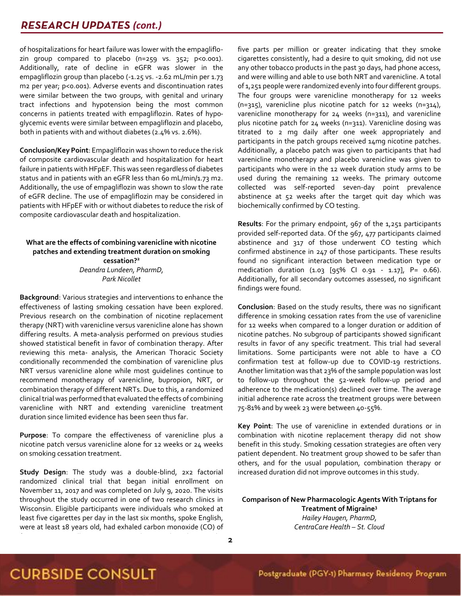### **RESEARCH UPDATES (cont.)**

of hospitalizations for heart failure was lower with the empagliflozin group compared to placebo  $(n=259 \text{ vs. } 352; \text{ p} < 0.001).$ Additionally, rate of decline in eGFR was slower in the empagliflozin group than placebo (-1.25 vs. -2.62 mL/min per 1.73 m2 per year; p<0.001). Adverse events and discontinuation rates were similar between the two groups, with genital and urinary tract infections and hypotension being the most common concerns in patients treated with empagliflozin. Rates of hypoglycemic events were similar between empagliflozin and placebo, both in patients with and without diabetes (2.4% vs. 2.6%).

**Conclusion/Key Point**: Empagliflozin was shown to reduce the risk of composite cardiovascular death and hospitalization for heart failure in patients with HFpEF. This was seen regardless of diabetes status and in patients with an eGFR less than 60 mL/min/1.73 m2. Additionally, the use of empagliflozin was shown to slow the rate of eGFR decline. The use of empagliflozin may be considered in patients with HFpEF with or without diabetes to reduce the risk of composite cardiovascular death and hospitalization.

#### **What are the effects of combining varenicline with nicotine patches and extending treatment duration on smoking cessation? 2** *Deandra Lundeen, PharmD,*

*Park Nicollet*

**Background**: Various strategies and interventions to enhance the effectiveness of lasting smoking cessation have been explored. Previous research on the combination of nicotine replacement therapy (NRT) with varenicline versus varenicline alone has shown differing results. A meta-analysis performed on previous studies showed statistical benefit in favor of combination therapy. After reviewing this meta- analysis, the American Thoracic Society conditionally recommended the combination of varenicline plus NRT versus varenicline alone while most guidelines continue to recommend monotherapy of varenicline, bupropion, NRT, or combination therapy of different NRTs. Due to this, a randomized clinical trial was performed that evaluated the effects of combining varenicline with NRT and extending varenicline treatment duration since limited evidence has been seen thus far.

**Purpose**: To compare the effectiveness of varenicline plus a nicotine patch versus varenicline alone for 12 weeks or 24 weeks on smoking cessation treatment.

**Study Design**: The study was a double-blind, 2x2 factorial randomized clinical trial that began initial enrollment on November 11, 2017 and was completed on July 9, 2020. The visits throughout the study occurred in one of two research clinics in Wisconsin. Eligible participants were individuals who smoked at least five cigarettes per day in the last six months, spoke English, were at least 18 years old, had exhaled carbon monoxide (CO) of five parts per million or greater indicating that they smoke cigarettes consistently, had a desire to quit smoking, did not use any other tobacco products in the past 30 days, had phone access, and were willing and able to use both NRT and varenicline. A total of 1,251 people were randomized evenly into four different groups. The four groups were varenicline monotherapy for 12 weeks (n=315), varenicline plus nicotine patch for 12 weeks (n=314), varenicline monotherapy for 24 weeks (n=311), and varenicline plus nicotine patch for 24 weeks (n=311). Varenicline dosing was titrated to 2 mg daily after one week appropriately and participants in the patch groups received 14mg nicotine patches. Additionally, a placebo patch was given to participants that had varenicline monotherapy and placebo varenicline was given to participants who were in the 12 week duration study arms to be used during the remaining 12 weeks. The primary outcome collected was self-reported seven-day point prevalence abstinence at 52 weeks after the target quit day which was biochemically confirmed by CO testing.

**Results**: For the primary endpoint, 967 of the 1,251 participants provided self-reported data. Of the 967, 477 participants claimed abstinence and 317 of those underwent CO testing which confirmed abstinence in 247 of those participants. These results found no significant interaction between medication type or medication duration (1.03 [95% CI 0.91 - 1.17], P= 0.66). Additionally, for all secondary outcomes assessed, no significant findings were found.

**Conclusion**: Based on the study results, there was no significant difference in smoking cessation rates from the use of varenicline for 12 weeks when compared to a longer duration or addition of nicotine patches. No subgroup of participants showed significant results in favor of any specific treatment. This trial had several limitations. Some participants were not able to have a CO confirmation test at follow-up due to COVID-19 restrictions. Another limitation was that 23% of the sample population was lost to follow-up throughout the 52-week follow-up period and adherence to the medication(s) declined over time. The average initial adherence rate across the treatment groups were between 75-81% and by week 23 were between 40-55%.

**Key Point**: The use of varenicline in extended durations or in combination with nicotine replacement therapy did not show benefit in this study. Smoking cessation strategies are often very patient dependent. No treatment group showed to be safer than others, and for the usual population, combination therapy or increased duration did not improve outcomes in this study.

**Comparison of New Pharmacologic Agents With Triptans for Treatment of Migraine<sup>3</sup>** *Hailey Haugen, PharmD, CentraCare Health – St. Cloud*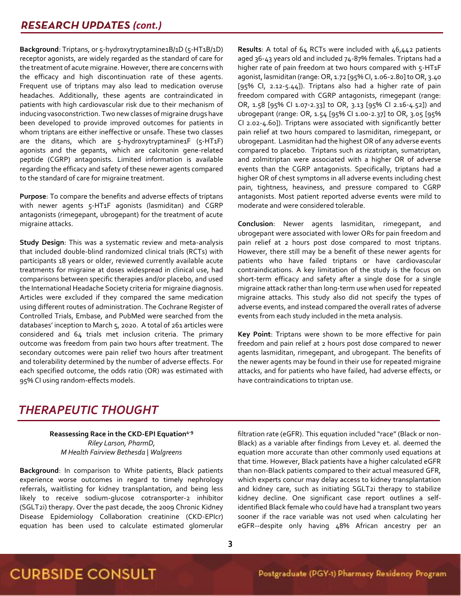**Background**: Triptans, or 5-hydroxytryptamine1B/1D (5-HT1B/1D) receptor agonists, are widely regarded as the standard of care for the treatment of acute migraine. However, there are concerns with the efficacy and high discontinuation rate of these agents. Frequent use of triptans may also lead to medication overuse headaches. Additionally, these agents are contraindicated in patients with high cardiovascular risk due to their mechanism of inducing vasoconstriction. Two new classes of migraine drugs have been developed to provide improved outcomes for patients in whom triptans are either ineffective or unsafe. These two classes are the ditans, which are 5-hydroxytryptamine1F (5-HT1F) agonists and the gepants, which are calcitonin gene-related peptide (CGRP) antagonists. Limited information is available regarding the efficacy and safety of these newer agents compared to the standard of care for migraine treatment.

**Purpose**: To compare the benefits and adverse effects of triptans with newer agents 5-HT1F agonists (lasmiditan) and CGRP antagonists (rimegepant, ubrogepant) for the treatment of acute migraine attacks.

**Study Design**: This was a systematic review and meta-analysis that included double-blind randomized clinical trials (RCTs) with participants 18 years or older, reviewed currently available acute treatments for migraine at doses widespread in clinical use, had comparisons between specific therapies and/or placebo, and used the International Headache Society criteria for migraine diagnosis. Articles were excluded if they compared the same medication using different routes of administration. The Cochrane Register of Controlled Trials, Embase, and PubMed were searched from the databases' inception to March 5, 2020. A total of 261 articles were considered and 64 trials met inclusion criteria. The primary outcome was freedom from pain two hours after treatment. The secondary outcomes were pain relief two hours after treatment and tolerability determined by the number of adverse effects. For each specified outcome, the odds ratio (OR) was estimated with 95% CI using random-effects models.

**Results**: A total of 64 RCTs were included with 46,442 patients aged 36-43 years old and included 74-87% females. Triptans had a higher rate of pain freedom at two hours compared with 5-HT1F agonist, lasmiditan (range: OR, 1.72 [95% CI, 1.06-2.80] to OR, 3.40 [95% CI, 2.12-5.44]). Triptans also had a higher rate of pain freedom compared with CGRP antagonists, rimegepant (range: OR, 1.58 [95% CI 1.07-2.33] to OR, 3.13 [95% CI 2.16-4.52]) and ubrogepant (range: OR, 1.54 [95% CI 1.00-2.37] to OR, 3.05 [95% CI 2.02-4.60]). Triptans were associated with significantly better pain relief at two hours compared to lasmiditan, rimegepant, or ubrogepant. Lasmiditan had the highest OR of any adverse events compared to placebo. Triptans such as rizatriptan, sumatriptan, and zolmitriptan were associated with a higher OR of adverse events than the CGRP antagonists. Specifically, triptans had a higher OR of chest symptoms in all adverse events including chest pain, tightness, heaviness, and pressure compared to CGRP antagonists. Most patient reported adverse events were mild to moderate and were considered tolerable.

**Conclusion**: Newer agents lasmiditan, rimegepant, and ubrogepant were associated with lower ORs for pain freedom and pain relief at 2 hours post dose compared to most triptans. However, there still may be a benefit of these newer agents for patients who have failed triptans or have cardiovascular contraindications. A key limitation of the study is the focus on short-term efficacy and safety after a single dose for a single migraine attack rather than long-term use when used for repeated migraine attacks. This study also did not specify the types of adverse events, and instead compared the overall rates of adverse events from each study included in the meta analysis.

**Key Point**: Triptans were shown to be more effective for pain freedom and pain relief at 2 hours post dose compared to newer agents lasmiditan, rimegepant, and ubrogepant. The benefits of the newer agents may be found in their use for repeated migraine attacks, and for patients who have failed, had adverse effects, or have contraindications to triptan use.

### *THERAPEUTIC THOUGHT*

**Reassessing Race in the CKD-EPI Equation4-9** *Riley Larson, PharmD, M Health Fairview Bethesda | Walgreens*

**Background**: In comparison to White patients, Black patients experience worse outcomes in regard to timely nephrology referrals, waitlisting for kidney transplantation, and being less likely to receive sodium-glucose cotransporter-2 inhibitor (SGLT2i) therapy. Over the past decade, the 2009 Chronic Kidney Disease Epidemiology Collaboration creatinine (CKD-EPIcr) equation has been used to calculate estimated glomerular filtration rate (eGFR). This equation included "race" (Black or non-Black) as a variable after findings from Levey et. al. deemed the equation more accurate than other commonly used equations at that time. However, Black patients have a higher calculated eGFR than non-Black patients compared to their actual measured GFR, which experts concur may delay access to kidney transplantation and kidney care, such as initiating SGLT2i therapy to stabilize kidney decline. One significant case report outlines a selfidentified Black female who could have had a transplant two years sooner if the race variable was not used when calculating her eGFR--despite only having 48% African ancestry per an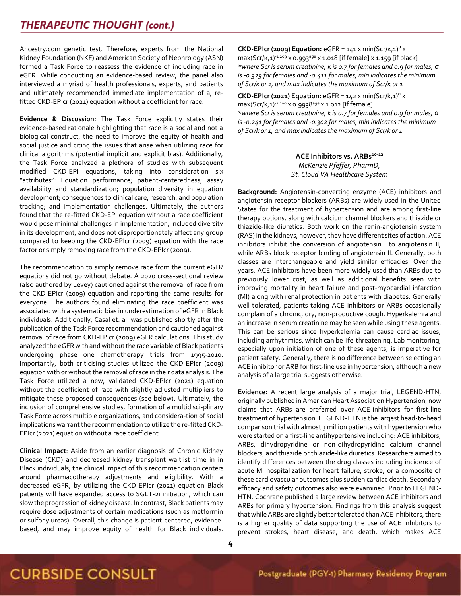Ancestry.com genetic test. Therefore, experts from the National Kidney Foundation (NKF) and American Society of Nephrology (ASN) formed a Task Force to reassess the evidence of including race in eGFR. While conducting an evidence-based review, the panel also interviewed a myriad of health professionals, experts, and patients and ultimately recommended immediate implementation of a, refitted CKD-EPIcr (2021) equation without a coefficient for race.

**Evidence & Discussion**: The Task Force explicitly states their evidence-based rationale highlighting that race is a social and not a biological construct, the need to improve the equity of health and social justice and citing the issues that arise when utilizing race for clinical algorithms (potential implicit and explicit bias). Additionally, the Task Force analyzed a plethora of studies with subsequent modified CKD-EPI equations, taking into consideration six "attributes": Equation performance; patient-centeredness; assay availability and standardization; population diversity in equation development; consequences to clinical care, research, and population tracking; and implementation challenges. Ultimately, the authors found that the re-fitted CKD-EPI equation without a race coefficient would pose minimal challenges in implementation, included diversity in its development, and does not disproportionately affect any group compared to keeping the CKD-EPIcr (2009) equation with the race factor or simply removing race from the CKD-EPIcr (2009).

The recommendation to simply remove race from the current eGFR equations did not go without debate. A 2020 cross-sectional review (also authored by Levey) cautioned against the removal of race from the CKD-EPIcr (2009) equation and reporting the same results for everyone. The authors found eliminating the race coefficient was associated with a systematic bias in underestimation of eGFR in Black individuals. Additionally, Casal et. al. was published shortly after the publication of the Task Force recommendation and cautioned against removal of race from CKD-EPIcr (2009) eGFR calculations. This study analyzed the eGFR with and without the race variable of Black patients undergoing phase one chemotherapy trials from 1995-2010. Importantly, both criticising studies utilized the CKD-EPIcr (2009) equation with or without the removal of race in their data analysis. The Task Force utilized a new, validated CKD-EPIcr (2021) equation without the coefficient of race with slightly adjusted multipliers to mitigate these proposed consequences (see below). Ultimately, the inclusion of comprehensive studies, formation of a multidisci-plinary Task Force across multiple organizations, and considera-tion of social implications warrant the recommendation to utilize the re-fitted CKD-EPIcr (2021) equation without a race coefficient.

**Clinical Impact**: Aside from an earlier diagnosis of Chronic Kidney Disease (CKD) and decreased kidney transplant waitlist time in in Black individuals, the clinical impact of this recommendation centers around pharmacotherapy adjustments and eligibility. With a decreased eGFR, by utilizing the CKD-EPIcr (2021) equation Black patients will have expanded access to SGLT-2i initiation, which can slow the progression of kidney disease. In contrast, Black patients may require dose adjustments of certain medications (such as metformin or sulfonylureas). Overall, this change is patient-centered, evidencebased, and may improve equity of health for Black individuals.

**CKD-EPIcr (2009) Equation:**  $e$ GFR =  $141 \times min(Scr/K,1)^{a} \times$ max(Scr/K,1)-1.209 x 0.993<sup>age</sup> x 1.018 [if female] x 1.159 [if black] *\*where Scr is serum creatinine, κ is 0.7 for females and 0.9 for males, ɑ is -0.329 for females and -0.411 for males, min indicates the minimum of Scr/κ or 1, and max indicates the maximum of Scr/κ or 1*

**CKD-EPIcr (2021) Equation:**  $e$ GFR =  $142 \times min(Scr/k, 1)^{a} \times$  $max(Scr/k,1)^{-1.200}$  x 0.9938<sup>age</sup> x 1.012 [if female] *\*where Scr is serum creatinine, k is 0.7 for females and 0.9 for males, ɑ is -0.241 for females and -0.302 for males, min indicates the minimum of Scr/k or 1, and max indicates the maximum of Scr/k or 1*

> **ACE Inhibitors vs. ARBs10-12** *McKenzie Pfeffer, PharmD, St. Cloud VA Healthcare System*

**Background:** Angiotensin-converting enzyme (ACE) inhibitors and angiotensin receptor blockers (ARBs) are widely used in the United States for the treatment of hypertension and are among first-line therapy options, along with calcium channel blockers and thiazide or thiazide-like diuretics. Both work on the renin-angiotensin system (RAS) in the kidneys, however, they have different sites of action. ACE inhibitors inhibit the conversion of angiotensin I to angiotensin II, while ARBs block receptor binding of angiotensin II. Generally, both classes are interchangeable and yield similar efficacies. Over the years, ACE inhibitors have been more widely used than ARBs due to previously lower cost, as well as additional benefits seen with improving mortality in heart failure and post-myocardial infarction (MI) along with renal protection in patients with diabetes. Generally well-tolerated, patients taking ACE inhibitors or ARBs occasionally complain of a chronic, dry, non-productive cough. Hyperkalemia and an increase in serum creatinine may be seen while using these agents. This can be serious since hyperkalemia can cause cardiac issues, including arrhythmias, which can be life-threatening. Lab monitoring, especially upon initiation of one of these agents, is imperative for patient safety. Generally, there is no difference between selecting an ACE inhibitor or ARB for first-line use in hypertension, although a new analysis of a large trial suggests otherwise.

**Evidence:** A recent large analysis of a major trial, LEGEND-HTN, originally published in American Heart Association Hypertension, now claims that ARBs are preferred over ACE-inhibitors for first-line treatment of hypertension. LEGEND-HTN is the largest head-to-head comparison trial with almost 3 million patients with hypertension who were started on a first-line antihypertensive including: ACE inhibitors, ARBs, dihydropyridine or non-dihydropyridine calcium channel blockers, and thiazide or thiazide-like diuretics. Researchers aimed to identify differences between the drug classes including incidence of acute MI hospitalization for heart failure, stroke, or a composite of these cardiovascular outcomes plus sudden cardiac death. Secondary efficacy and safety outcomes also were examined. Prior to LEGEND-HTN, Cochrane published a large review between ACE inhibitors and ARBs for primary hypertension. Findings from this analysis suggest that while ARBs are slightly better tolerated than ACE inhibitors, there is a higher quality of data supporting the use of ACE inhibitors to prevent strokes, heart disease, and death, which makes ACE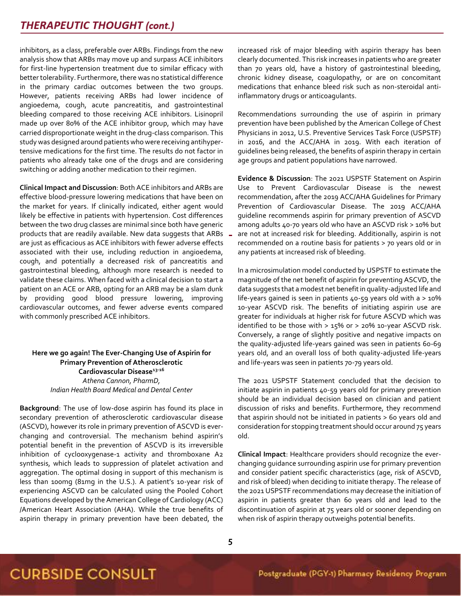inhibitors, as a class, preferable over ARBs. Findings from the new analysis show that ARBs may move up and surpass ACE inhibitors for first-line hypertension treatment due to similar efficacy with better tolerability. Furthermore, there was no statistical difference in the primary cardiac outcomes between the two groups. However, patients receiving ARBs had lower incidence of angioedema, cough, acute pancreatitis, and gastrointestinal bleeding compared to those receiving ACE inhibitors. Lisinopril made up over 80% of the ACE inhibitor group, which may have carried disproportionate weight in the drug-class comparison. This study was designed around patients who were receiving antihypertensive medications for the first time. The results do not factor in patients who already take one of the drugs and are considering switching or adding another medication to their regimen.

between the two drug classes are minimal since both have generic **Clinical Impact and Discussion**: Both ACE inhibitors and ARBs are effective blood-pressure lowering medications that have been on the market for years. If clinically indicated, either agent would likely be effective in patients with hypertension. Cost differences products that are readily available. New data suggests that ARBs are just as efficacious as ACE inhibitors with fewer adverse effects associated with their use, including reduction in angioedema, cough, and potentially a decreased risk of pancreatitis and gastrointestinal bleeding, although more research is needed to validate these claims. When faced with a clinical decision to start a patient on an ACE or ARB, opting for an ARB may be a slam dunk by providing good blood pressure lowering, improving cardiovascular outcomes, and fewer adverse events compared with commonly prescribed ACE inhibitors.

#### **Here we go again! The Ever-Changing Use of Aspirin for Primary Prevention of Atherosclerotic Cardiovascular Disease13-16** *Athena Cannon, PharmD, Indian Health Board Medical and Dental Center*

**Background**: The use of low-dose aspirin has found its place in secondary prevention of atherosclerotic cardiovascular disease (ASCVD), however its role in primary prevention of ASCVD is everchanging and controversial. The mechanism behind aspirin's potential benefit in the prevention of ASCVD is its irreversible inhibition of cyclooxygenase-1 activity and thromboxane A2 synthesis, which leads to suppression of platelet activation and aggregation. The optimal dosing in support of this mechanism is less than 100mg (81mg in the U.S.). A patient's 10-year risk of experiencing ASCVD can be calculated using the Pooled Cohort Equations developed by the American College of Cardiology (ACC) /American Heart Association (AHA). While the true benefits of aspirin therapy in primary prevention have been debated, the

increased risk of major bleeding with aspirin therapy has been clearly documented. This risk increases in patients who are greater than 70 years old, have a history of gastrointestinal bleeding, chronic kidney disease, coagulopathy, or are on concomitant medications that enhance bleed risk such as non-steroidal antiinflammatory drugs or anticoagulants.

Recommendations surrounding the use of aspirin in primary prevention have been published by the American College of Chest Physicians in 2012, U.S. Preventive Services Task Force (USPSTF) in 2016, and the ACC/AHA in 2019. With each iteration of guidelines being released, the benefits of aspirin therapy in certain age groups and patient populations have narrowed.

**Evidence & Discussion**: The 2021 USPSTF Statement on Aspirin Use to Prevent Cardiovascular Disease is the newest recommendation, after the 2019 ACC/AHA Guidelines for Primary Prevention of Cardiovascular Disease. The 2019 ACC/AHA guideline recommends aspirin for primary prevention of ASCVD among adults 40-70 years old who have an ASCVD risk > 10% but are not at increased risk for bleeding. Additionally, aspirin is not recommended on a routine basis for patients > 70 years old or in any patients at increased risk of bleeding.

In a microsimulation model conducted by USPSTF to estimate the magnitude of the net benefit of aspirin for preventing ASCVD, the data suggests that a modest net benefit in quality-adjusted life and life-years gained is seen in patients 40-59 years old with a > 10% 10-year ASCVD risk. The benefits of initiating aspirin use are greater for individuals at higher risk for future ASCVD which was identified to be those with > 15% or > 20% 10-year ASCVD risk. Conversely, a range of slightly positive and negative impacts on the quality-adjusted life-years gained was seen in patients 60-69 years old, and an overall loss of both quality-adjusted life-years and life-years was seen in patients 70-79 years old.

The 2021 USPSTF Statement concluded that the decision to initiate aspirin in patients 40-59 years old for primary prevention should be an individual decision based on clinician and patient discussion of risks and benefits. Furthermore, they recommend that aspirin should not be initiated in patients > 60 years old and consideration for stopping treatment should occur around 75 years old.

**Clinical Impact**: Healthcare providers should recognize the everchanging guidance surrounding aspirin use for primary prevention and consider patient specific characteristics (age, risk of ASCVD, and risk of bleed) when deciding to initiate therapy. The release of the 2021 USPSTF recommendations may decrease the initiation of aspirin in patients greater than 60 years old and lead to the discontinuation of aspirin at 75 years old or sooner depending on when risk of aspirin therapy outweighs potential benefits.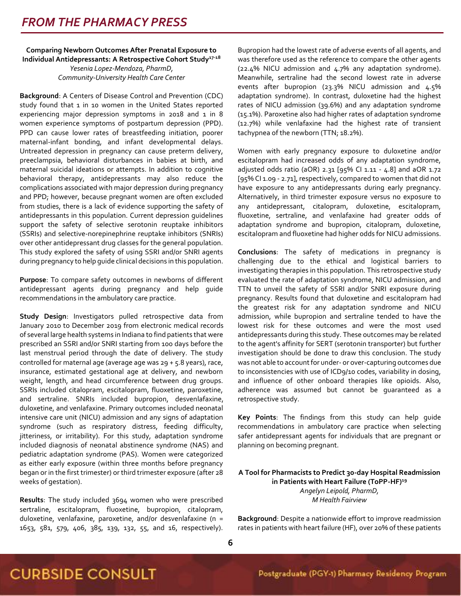#### **Comparing Newborn Outcomes After Prenatal Exposure to Individual Antidepressants: A Retrospective Cohort Study17-18** *Yesenia Lopez-Mendoza, PharmD, Community-University Health Care Center*

**Background**: A Centers of Disease Control and Prevention (CDC) study found that 1 in 10 women in the United States reported experiencing major depression symptoms in 2018 and 1 in 8 women experience symptoms of postpartum depression (PPD). PPD can cause lower rates of breastfeeding initiation, poorer maternal-infant bonding, and infant developmental delays. Untreated depression in pregnancy can cause preterm delivery, preeclampsia, behavioral disturbances in babies at birth, and maternal suicidal ideations or attempts. In addition to cognitive behavioral therapy, antidepressants may also reduce the complications associated with major depression during pregnancy and PPD; however, because pregnant women are often excluded from studies, there is a lack of evidence supporting the safety of antidepressants in this population. Current depression guidelines support the safety of selective serotonin reuptake inhibitors (SSRIs) and selective-norepinephrine reuptake inhibitors (SNRIs) over other antidepressant drug classes for the general population. This study explored the safety of using SSRI and/or SNRI agents during pregnancy to help guide clinical decisions in this population.

**Purpose**: To compare safety outcomes in newborns of different antidepressant agents during pregnancy and help guide recommendations in the ambulatory care practice.

**Study Design**: Investigators pulled retrospective data from January 2010 to December 2019 from electronic medical records of several large health systems in Indiana to find patients that were prescribed an SSRI and/or SNRI starting from 100 days before the last menstrual period through the date of delivery. The study controlled for maternal age (average age was 29 + 5.8 years), race, insurance, estimated gestational age at delivery, and newborn weight, length, and head circumference between drug groups. SSRIs included citalopram, escitalopram, fluoxetine, paroxetine, and sertraline. SNRIs included bupropion, desvenlafaxine, duloxetine, and venlafaxine. Primary outcomes included neonatal intensive care unit (NICU) admission and any signs of adaptation syndrome (such as respiratory distress, feeding difficulty, jitteriness, or irritability). For this study, adaptation syndrome included diagnosis of neonatal abstinence syndrome (NAS) and pediatric adaptation syndrome (PAS). Women were categorized as either early exposure (within three months before pregnancy began or in the first trimester) or third trimester exposure (after 28 weeks of gestation).

**Results**: The study included 3694 women who were prescribed sertraline, escitalopram, fluoxetine, bupropion, citalopram, duloxetine, venlafaxine, paroxetine, and/or desvenlafaxine (n = 1653, 581, 579, 406, 385, 139, 132, 55, and 16, respectively). Bupropion had the lowest rate of adverse events of all agents, and was therefore used as the reference to compare the other agents (22.4% NICU admission and 4.7% any adaptation syndrome). Meanwhile, sertraline had the second lowest rate in adverse events after bupropion (23.3% NICU admission and 4.5% adaptation syndrome). In contrast, duloxetine had the highest rates of NICU admission (39.6%) and any adaptation syndrome (15.1%). Paroxetine also had higher rates of adaptation syndrome (12.7%) while venlafaxine had the highest rate of transient tachypnea of the newborn (TTN; 18.2%).

Women with early pregnancy exposure to duloxetine and/or escitalopram had increased odds of any adaptation syndrome, adjusted odds ratio (aOR) 2.31 [95% CI 1.11 - 4.8] and aOR 1.72 [95% CI 1.09 - 2.71], respectively, compared to women that did not have exposure to any antidepressants during early pregnancy. Alternatively, in third trimester exposure versus no exposure to any antidepressant, citalopram, duloxetine, escitalopram, fluoxetine, sertraline, and venlafaxine had greater odds of adaptation syndrome and bupropion, citalopram, duloxetine, escitalopram and fluoxetine had higher odds for NICU admissions.

**Conclusions**: The safety of medications in pregnancy is challenging due to the ethical and logistical barriers to investigating therapies in this population. This retrospective study evaluated the rate of adaptation syndrome, NICU admission, and TTN to unveil the safety of SSRI and/or SNRI exposure during pregnancy. Results found that duloxetine and escitalopram had the greatest risk for any adaptation syndrome and NICU admission, while bupropion and sertraline tended to have the lowest risk for these outcomes and were the most used antidepressants during this study. These outcomes may be related to the agent's affinity for SERT (serotonin transporter) but further investigation should be done to draw this conclusion. The study was not able to account for under- or over-capturing outcomes due to inconsistencies with use of ICD9/10 codes, variability in dosing, and influence of other onboard therapies like opioids. Also, adherence was assumed but cannot be guaranteed as a retrospective study.

**Key Points**: The findings from this study can help guide recommendations in ambulatory care practice when selecting safer antidepressant agents for individuals that are pregnant or planning on becoming pregnant.

#### **A Tool for Pharmacists to Predict 30-day Hospital Readmission in Patients with Heart Failure (ToPP-HF)<sup>19</sup>** *Angelyn Leipold, PharmD, M Health Fairview*

**Background**: Despite a nationwide effort to improve readmission rates in patients with heart failure (HF), over 20% of these patients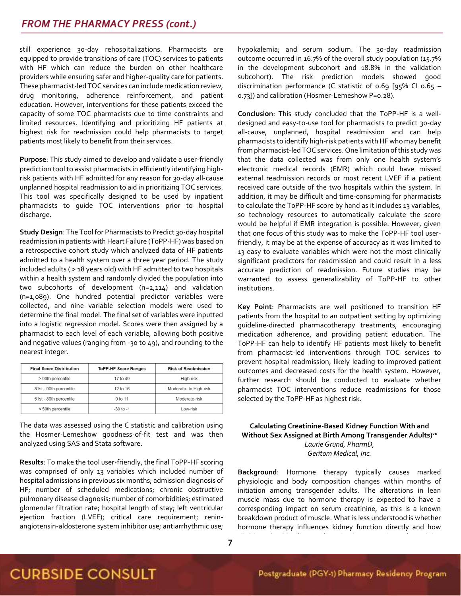still experience 30-day rehospitalizations. Pharmacists are equipped to provide transitions of care (TOC) services to patients with HF which can reduce the burden on other healthcare providers while ensuring safer and higher-quality care for patients. These pharmacist-led TOC services can include medication review, drug monitoring, adherence reinforcement, and patient education. However, interventions for these patients exceed the capacity of some TOC pharmacists due to time constraints and limited resources. Identifying and prioritizing HF patients at highest risk for readmission could help pharmacists to target patients most likely to benefit from their services.

**Purpose**: This study aimed to develop and validate a user-friendly prediction tool to assist pharmacists in efficiently identifying highrisk patients with HF admitted for any reason for 30-day all-cause unplanned hospital readmission to aid in prioritizing TOC services. This tool was specifically designed to be used by inpatient pharmacists to guide TOC interventions prior to hospital discharge.

**Study Design**: The Tool for Pharmacists to Predict 30-day hospital readmission in patients with Heart Failure (ToPP-HF) was based on a retrospective cohort study which analyzed data of HF patients admitted to a health system over a three year period. The study included adults ( > 18 years old) with HF admitted to two hospitals within a health system and randomly divided the population into two subcohorts of development (n=2,114) and validation (n=1,089). One hundred potential predictor variables were collected, and nine variable selection models were used to determine the final model. The final set of variables were inputted into a logistic regression model. Scores were then assigned by a pharmacist to each level of each variable, allowing both positive and negative values (ranging from -30 to 49), and rounding to the nearest integer.

| <b>Final Score Distribution</b> | <b>ToPP-HF Score Ranges</b> | <b>Risk of Readmission</b> |
|---------------------------------|-----------------------------|----------------------------|
| > 90th percentile               | 17 to 49                    | High-risk                  |
| 81st - 90th percentile          | 12 to 16                    | Moderate- to High-risk     |
| 51st - 80th percentile          | 0 to 11                     | Moderate-risk              |
| < 50th percentile               | $-30$ to $-1$               | Low-risk                   |

The data was assessed using the C statistic and calibration using the Hosmer-Lemeshow goodness-of-fit test and was then analyzed using SAS and Stata software.

**Results**: To make the tool user-friendly, the final ToPP-HF scoring was comprised of only 13 variables which included number of hospital admissions in previous six months; admission diagnosis of HF; number of scheduled medications; chronic obstructive pulmonary disease diagnosis; number of comorbidities; estimated glomerular filtration rate; hospital length of stay; left ventricular ejection fraction (LVEF); critical care requirement; reninangiotensin-aldosterone system inhibitor use; antiarrhythmic use;

hypokalemia; and serum sodium. The 30-day readmission outcome occurred in 16.7% of the overall study population (15.7% in the development subcohort and 18.8% in the validation subcohort). The risk prediction models showed good discrimination performance (C statistic of 0.69 [95% CI 0.65 – 0.73]) and calibration (Hosmer-Lemeshow P=0.28).

**Conclusion**: This study concluded that the ToPP-HF is a welldesigned and easy-to-use tool for pharmacists to predict 30-day all-cause, unplanned, hospital readmission and can help pharmacists to identify high-risk patients with HF who may benefit from pharmacist-led TOC services. One limitation of this study was that the data collected was from only one health system's electronic medical records (EMR) which could have missed external readmission records or most recent LVEF if a patient received care outside of the two hospitals within the system. In addition, it may be difficult and time-consuming for pharmacists to calculate the ToPP-HF score by hand as it includes 13 variables, so technology resources to automatically calculate the score would be helpful if EMR integration is possible. However, given that one focus of this study was to make the ToPP-HF tool userfriendly, it may be at the expense of accuracy as it was limited to 13 easy to evaluate variables which were not the most clinically significant predictors for readmission and could result in a less accurate prediction of readmission. Future studies may be warranted to assess generalizability of ToPP-HF to other institutions.

**Key Point**: Pharmacists are well positioned to transition HF patients from the hospital to an outpatient setting by optimizing guideline-directed pharmacotherapy treatments, encouraging medication adherence, and providing patient education. The ToPP-HF can help to identify HF patients most likely to benefit from pharmacist-led interventions through TOC services to prevent hospital readmission, likely leading to improved patient outcomes and decreased costs for the health system. However, further research should be conducted to evaluate whether pharmacist TOC interventions reduce readmissions for those selected by the ToPP-HF as highest risk.

#### **Calculating Creatinine-Based Kidney Function With and Without Sex Assigned at Birth Among Transgender Adults) 20** *Laurie Grund, PharmD, Geritom Medical, Inc.*

**Background**: Hormone therapy typically causes marked physiologic and body composition changes within months of initiation among transgender adults. The alterations in lean muscle mass due to hormone therapy is expected to have a corresponding impact on serum creatinine, as this is a known breakdown product of muscle. What is less understood is whether hormone therapy influences kidney function directly and how

clinicians should utilize gender as it relates to estimated creatinine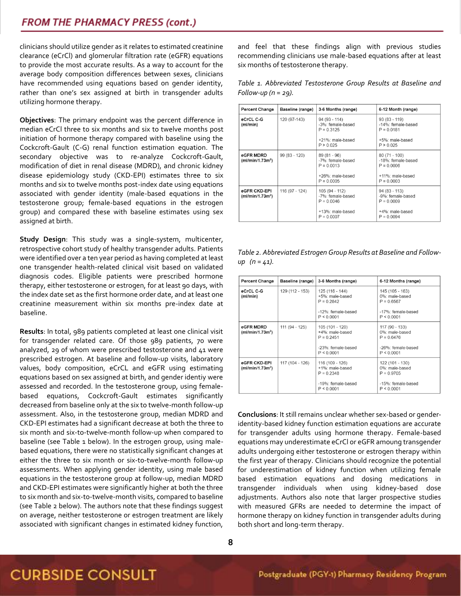clinicians should utilize gender as it relates to estimated creatinine clearance (eCrCl) and glomerular filtration rate (eGFR) equations to provide the most accurate results. As a way to account for the average body composition differences between sexes, clinicians have recommended using equations based on gender identity, rather than one's sex assigned at birth in transgender adults utilizing hormone therapy.

**Objectives**: The primary endpoint was the percent difference in median eCrCl three to six months and six to twelve months post initiation of hormone therapy compared with baseline using the Cockcroft-Gault (C-G) renal function estimation equation. The secondary objective was to re-analyze Cockcroft-Gault, modification of diet in renal disease (MDRD), and chronic kidney disease epidemiology study (CKD-EPI) estimates three to six months and six to twelve months post-index date using equations associated with gender identity (male-based equations in the testosterone group; female-based equations in the estrogen group) and compared these with baseline estimates using sex assigned at birth.

**Study Design**: This study was a single-system, multicenter, retrospective cohort study of healthy transgender adults. Patients were identified over a ten year period as having completed at least one transgender health-related clinical visit based on validated diagnosis codes. Eligible patients were prescribed hormone therapy, either testosterone or estrogen, for at least 90 days, with the index date set as the first hormone order date, and at least one creatinine measurement within six months pre-index date at baseline.

**Results**: In total, 989 patients completed at least one clinical visit for transgender related care. Of those 989 patients, 70 were analyzed, 29 of whom were prescribed testosterone and 41 were prescribed estrogen. At baseline and follow-up visits, laboratory values, body composition, eCrCL and eGFR using estimating equations based on sex assigned at birth, and gender identiy were assessed and recorded. In the testosterone group, using femalebased equations, Cockcroft-Gault estimates significantly decreased from baseline only at the six to twelve-month follow-up assessment. Also, in the testosterone group, median MDRD and CKD-EPI estimates had a significant decrease at both the three to six month and six-to-twelve-month follow-up when compared to baseline (see Table 1 below). In the estrogen group, using malebased equations, there were no statistically significant changes at either the three to six month or six-to-twelve-month follow-up assessments. When applying gender identity, using male based equations in the testosterone group at follow-up, median MDRD and CKD-EPI estimates were significantly higher at both the three to six month and six-to-twelve-month visits, compared to baseline (see Table 2 below). The authors note that these findings suggest on average, neither testosterone or estrogen treatment are likely associated with significant changes in estimated kidney function,

and feel that these findings align with previous studies recommending clinicians use male-based equations after at least six months of testosterone therapy.

|                        | Table 1. Abbreviated Testosterone Group Results at Baseline and |  |  |  |
|------------------------|-----------------------------------------------------------------|--|--|--|
| Follow-up $(n = 29)$ . |                                                                 |  |  |  |

| <b>Percent Change</b>                        | Baseline (range) | 3-6 Months (range)                                                                      | 6-12 Month (range)                                                                       |
|----------------------------------------------|------------------|-----------------------------------------------------------------------------------------|------------------------------------------------------------------------------------------|
| eCrCL C-G<br>(ml/min)                        | 120 (97-143)     | $94(93 - 114)$<br>-3%: female-based<br>$P = 0.3125$<br>+21%: male-based<br>P > 0.025    | $93(83 - 119)$<br>-14%: female-based<br>$P = 0.0181$<br>+5%: male-based<br>P > 0.025     |
| eGFR MDRD<br>(mI/min/1.73m <sup>2</sup> )    | 99 (83 - 120)    | $89(81 - 96)$<br>-7%: female-based<br>$P = 0.0013$<br>+26%: male-based<br>$P = 0.0005$  | $80(71 - 100)$<br>-18%: female-based<br>$P = 0.0006$<br>+11%: male-based<br>$P = 0.0003$ |
| eGFR CKD-EPI<br>(mI/min/1.73m <sup>2</sup> ) | 116 (97 - 124)   | 105 (94 - 112)<br>-7%: female-based<br>$P = 0.0046$<br>+13%: male-based<br>$P = 0.0007$ | $94(83 - 113)$<br>-9%: female-based<br>$P = 0.0009$<br>+4%: male-based<br>$P = 0.0094$   |

*Table 2. Abbreviated Estrogen Group Results at Baseline and Followup (n = 41).*

| <b>Percent Change</b>                        | Baseline (range) | 3-6 Months (range)                                                                     | 6-12 Months (range)                                                                   |
|----------------------------------------------|------------------|----------------------------------------------------------------------------------------|---------------------------------------------------------------------------------------|
| eCrCL C-G<br>(ml/min)                        | 129 (112 - 153)  | 125 (116 - 144)<br>+5%: male-based<br>$P = 0.2842$<br>-12%: female-based<br>P < 0.0001 | 145 (105 - 163)<br>0%: male-based<br>$P = 0.6567$<br>-17%: female-based<br>P < 0.0001 |
| eGFR MDRD<br>(mI/min/1.73m <sup>2</sup> )    | 111 (94 - 125)   | 105 (101 - 120)<br>+4%: male-based<br>$P = 0.2451$<br>-23%: female-based<br>P < 0.0001 | 117 (90 - 133)<br>0%: male-based<br>$P = 0.6476$<br>-26%: female-based<br>P < 0.0001  |
| eGFR CKD-EPI<br>(mI/min/1.73m <sup>2</sup> ) | 117 (104 - 126)  | 116 (109 - 126)<br>+1%: male-based<br>$P = 0.2348$<br>-19%: female-based<br>P < 0.0001 | 122 (101 - 130)<br>0%: male-based<br>$P = 0.9705$<br>-15%: female-based<br>P < 0.0001 |

**Conclusions**: It still remains unclear whether sex-based or genderidentity-based kidney function estimation equations are accurate for transgender adults using hormone therapy. Female-based equations may underestimate eCrCl or eGFR amoung transgender adults undergoing either testosterone or estrogen therapy within the first year of therapy. Clinicians should recognize the potential for underestimation of kidney function when utilizing female based estimation equations and dosing medications in transgender individuals when using kidney-based dose adjustments. Authors also note that larger prospective studies with measured GFRs are needed to determine the impact of hormone therapy on kidney function in transgender adults during both short and long-term therapy.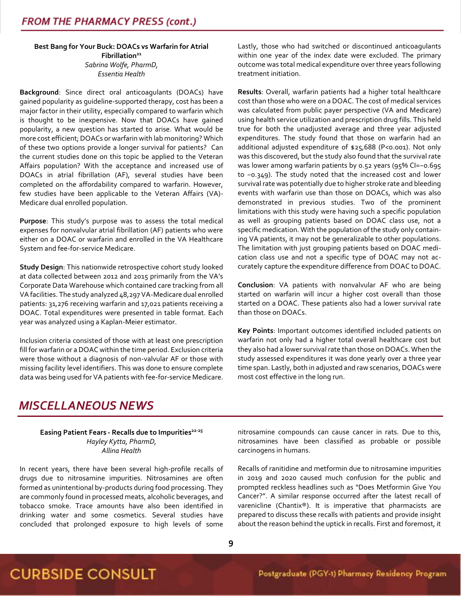**Best Bang for Your Buck: DOACs vs Warfarin for Atrial Fibrillation<sup>21</sup>** *Sabrina Wolfe, PharmD, Essentia Health*

**Background**: Since direct oral anticoagulants (DOACs) have gained popularity as guideline-supported therapy, cost has been a major factor in their utility, especially compared to warfarin which is thought to be inexpensive. Now that DOACs have gained popularity, a new question has started to arise. What would be more cost efficient; DOACs or warfarin with lab monitoring? Which of these two options provide a longer survival for patients? Can the current studies done on this topic be applied to the Veteran Affairs population? With the acceptance and increased use of DOACs in atrial fibrillation (AF), several studies have been completed on the affordability compared to warfarin. However, few studies have been applicable to the Veteran Affairs (VA)- Medicare dual enrolled population.

**Purpose**: This study's purpose was to assess the total medical expenses for nonvalvular atrial fibrillation (AF) patients who were either on a DOAC or warfarin and enrolled in the VA Healthcare System and fee-for-service Medicare.

**Study Design**: This nationwide retrospective cohort study looked at data collected between 2012 and 2015 primarily from the VA's Corporate Data Warehouse which contained care tracking from all VA facilities. The study analyzed 48,297 VA-Medicare dual enrolled patients: 31,276 receiving warfarin and 17,021 patients receiving a DOAC. Total expenditures were presented in table format. Each year was analyzed using a Kaplan-Meier estimator.

Inclusion criteria consisted of those with at least one prescription fill for warfarin or a DOAC within the time period. Exclusion criteria were those without a diagnosis of non-valvular AF or those with missing facility level identifiers. This was done to ensure complete data was being used for VA patients with fee-for-service Medicare. Lastly, those who had switched or discontinued anticoagulants within one year of the index date were excluded. The primary outcome was total medical expenditure over three years following treatment initiation.

**Results**: Overall, warfarin patients had a higher total healthcare cost than those who were on a DOAC. The cost of medical services was calculated from public payer perspective (VA and Medicare) using health service utilization and prescription drug fills. This held true for both the unadjusted average and three year adjusted expenditures. The study found that those on warfarin had an additional adjusted expenditure of \$25,688 (P<0.001). Not only was this discovered, but the study also found that the survival rate was lower among warfarin patients by 0.52 years (95% CI=−0.695 to −0.349). The study noted that the increased cost and lower survival rate was potentially due to higher stroke rate and bleeding events with warfarin use than those on DOACs, which was also demonstrated in previous studies. Two of the prominent limitations with this study were having such a specific population as well as grouping patients based on DOAC class use, not a specific medication. With the population of the study only containing VA patients, it may not be generalizable to other populations. The limitation with just grouping patients based on DOAC medication class use and not a specific type of DOAC may not accurately capture the expenditure difference from DOAC to DOAC.

**Conclusion**: VA patients with nonvalvular AF who are being started on warfarin will incur a higher cost overall than those started on a DOAC. These patients also had a lower survival rate than those on DOACs.

**Key Points**: Important outcomes identified included patients on warfarin not only had a higher total overall healthcare cost but they also had a lower survival rate than those on DOACs. When the study assessed expenditures it was done yearly over a three year time span. Lastly, both in adjusted and raw scenarios, DOACs were most cost effective in the long run.

### *MISCELLANEOUS NEWS*

**Easing Patient Fears - Recalls due to Impurities 22-25** *Hayley Kytta, PharmD, Allina Health*

In recent years, there have been several high-profile recalls of drugs due to nitrosamine impurities. Nitrosamines are often formed as unintentional by-products during food processing. They are commonly found in processed meats, alcoholic beverages, and tobacco smoke. Trace amounts have also been identified in drinking water and some cosmetics. Several studies have concluded that prolonged exposure to high levels of some

nitrosamine compounds can cause cancer in rats. Due to this, nitrosamines have been classified as probable or possible carcinogens in humans.

Recalls of ranitidine and metformin due to nitrosamine impurities in 2019 and 2020 caused much confusion for the public and prompted reckless headlines such as "Does Metformin Give You Cancer?". A similar response occurred after the latest recall of varenicline (Chantix®). It is imperative that pharmacists are prepared to discuss these recalls with patients and provide insight about the reason behind the uptick in recalls. First and foremost, it

is important to help patients understand that these recalls are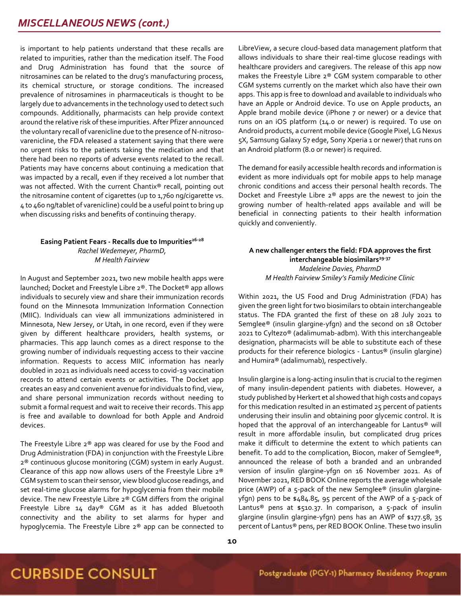is important to help patients understand that these recalls are related to impurities, rather than the medication itself. The Food and Drug Administration has found that the source of nitrosamines can be related to the drug's manufacturing process, its chemical structure, or storage conditions. The increased prevalence of nitrosamines in pharmaceuticals is thought to be largely due to advancements in the technology used to detect such compounds. Additionally, pharmacists can help provide context around the relative risk of these impurities. After Pfizer announced the voluntary recall of varenicline due to the presence of N-nitrosovarenicline, the FDA released a statement saying that there were no urgent risks to the patients taking the medication and that there had been no reports of adverse events related to the recall. Patients may have concerns about continuing a medication that was impacted by a recall, even if they received a lot number that was not affected. With the current Chantix® recall, pointing out the nitrosamine content of cigarettes (up to 1,760 ng/cigarette vs. 4 to 460 ng/tablet of varenicline) could be a useful point to bring up when discussing risks and benefits of continuing therapy.

#### **Easing Patient Fears - Recalls due to Impurities 26-28** *Rachel Wedemeyer, PharmD, M Health Fairview*

In August and September 2021, two new mobile health apps were launched; Docket and Freestyle Libre 2®. The Docket® app allows individuals to securely view and share their immunization records found on the Minnesota Immunization Information Connection (MIIC). Individuals can view all immunizations administered in Minnesota, New Jersey, or Utah, in one record, even if they were given by different healthcare providers, health systems, or pharmacies. This app launch comes as a direct response to the growing number of individuals requesting access to their vaccine information. Requests to access MIIC information has nearly doubled in 2021 as individuals need access to covid-19 vaccination records to attend certain events or activities. The Docket app creates an easy and convenient avenue for individuals to find, view, and share personal immunization records without needing to submit a formal request and wait to receive their records. This app is free and available to download for both Apple and Android devices.

The Freestyle Libre 2® app was cleared for use by the Food and Drug Administration (FDA) in conjunction with the Freestyle Libre 2® continuous glucose monitoring (CGM) system in early August. Clearance of this app now allows users of the Freestyle Libre 2® CGM system to scan their sensor, view blood glucose readings, and set real-time glucose alarms for hypoglycemia from their mobile device. The new Freestyle Libre 2® CGM differs from the original Freestyle Libre 14 day® CGM as it has added Bluetooth connectivity and the ability to set alarms for hyper and hypoglycemia. The Freestyle Libre 2® app can be connected to

LibreView, a secure cloud-based data management platform that allows individuals to share their real-time glucose readings with healthcare providers and caregivers. The release of this app now makes the Freestyle Libre 2® CGM system comparable to other CGM systems currently on the market which also have their own apps. This app is free to download and available to individuals who have an Apple or Android device. To use on Apple products, an Apple brand mobile device (iPhone 7 or newer) or a device that runs on an iOS platform (14.0 or newer) is required. To use on Android products, a current mobile device (Google Pixel, LG Nexus 5X, Samsung Galaxy S7 edge, Sony Xperia 1 or newer) that runs on an Android platform (8.0 or newer) is required.

The demand for easily accessible health records and information is evident as more individuals opt for mobile apps to help manage chronic conditions and access their personal health records. The Docket and Freestyle Libre 2® apps are the newest to join the growing number of health-related apps available and will be beneficial in connecting patients to their health information quickly and conveniently.

#### **A new challenger enters the field: FDA approves the first interchangeable biosimilars29-37** *Madeleine Davies, PharmD M Health Fairview Smiley's Family Medicine Clinic*

Within 2021, the US Food and Drug Administration (FDA) has given the green light for two biosimilars to obtain interchangeable status. The FDA granted the first of these on 28 July 2021 to Semglee® (insulin glargine-yfgn) and the second on 18 October 2021 to Cyltezo® (adalimumab-adbm). With this interchangeable designation, pharmacists will be able to substitute each of these products for their reference biologics - Lantus® (insulin glargine) and Humira® (adalimumab), respectively.

Insulin glargine is a long-acting insulin that is crucial to the regimen of many insulin-dependent patients with diabetes. However, a study published by Herkert et al showed that high costs and copays for this medication resulted in an estimated 25 percent of patients underusing their insulin and obtaining poor glycemic control. It is hoped that the approval of an interchangeable for Lantus® will result in more affordable insulin, but complicated drug prices make it difficult to determine the extent to which patients can benefit. To add to the complication, Biocon, maker of Semglee®, announced the release of both a branded and an unbranded version of insulin glargine-yfgn on 16 November 2021. As of November 2021, RED BOOK Online reports the average wholesale price (AWP) of a 5-pack of the new Semglee® (insulin glargineyfgn) pens to be \$484.85, 95 percent of the AWP of a 5-pack of Lantus<sup>®</sup> pens at \$510.37. In comparison, a 5-pack of insulin glargine (insulin glargine-yfgn) pens has an AWP of \$177.58, 35 percent of Lantus® pens, per RED BOOK Online. These two insulin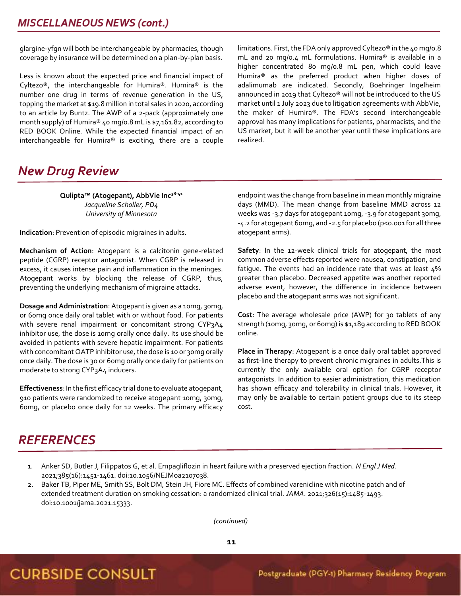glargine-yfgn will both be interchangeable by pharmacies, though coverage by insurance will be determined on a plan-by-plan basis.

Less is known about the expected price and financial impact of Cyltezo®, the interchangeable for Humira®. Humira® is the number one drug in terms of revenue generation in the US, topping the market at \$19.8 million in total sales in 2020, according to an article by Buntz. The AWP of a 2-pack (approximately one month supply) of Humira® 40 mg/0.8 mL is \$7,161.82, according to RED BOOK Online. While the expected financial impact of an interchangeable for Humira® is exciting, there are a couple

limitations. First, the FDA only approved Cyltezo® in the 40 mg/o.8 mL and 20 mg/0.4 mL formulations. Humira® is available in a higher concentrated 80 mg/0.8 mL pen, which could leave Humira® as the preferred product when higher doses of adalimumab are indicated. Secondly, Boehringer Ingelheim announced in 2019 that Cyltezo® will not be introduced to the US market until 1 July 2023 due to litigation agreements with AbbVie, the maker of Humira®. The FDA's second interchangeable approval has many implications for patients, pharmacists, and the US market, but it will be another year until these implications are realized.

### *New Drug Review*

**Qulipta™ (Atogepant), AbbVie Inc38-41** *Jacqueline Scholler, PD4 University of Minnesota*

**Indication**: Prevention of episodic migraines in adults.

**Mechanism of Action**: Atogepant is a calcitonin gene-related peptide (CGRP) receptor antagonist. When CGRP is released in excess, it causes intense pain and inflammation in the meninges. Atogepant works by blocking the release of CGRP, thus, preventing the underlying mechanism of migraine attacks.

**Dosage and Administration**: Atogepant is given as a 10mg, 30mg, or 60mg once daily oral tablet with or without food. For patients with severe renal impairment or concomitant strong CYP3A4 inhibitor use, the dose is 10mg orally once daily. Its use should be avoided in patients with severe hepatic impairment. For patients with concomitant OATP inhibitor use, the dose is 10 or 30mg orally once daily. The dose is 30 or 60mg orally once daily for patients on moderate to strong CYP3A4 inducers.

**Effectiveness**: In the first efficacy trial done to evaluate atogepant, 910 patients were randomized to receive atogepant 10mg, 30mg, 60mg, or placebo once daily for 12 weeks. The primary efficacy endpoint was the change from baseline in mean monthly migraine days (MMD). The mean change from baseline MMD across 12 weeks was -3.7 days for atogepant 10mg, -3.9 for atogepant 30mg, -4.2 for atogepant 60mg, and -2.5 for placebo (p<0.001 for all three atogepant arms).

**Safety**: In the 12-week clinical trials for atogepant, the most common adverse effects reported were nausea, constipation, and fatigue. The events had an incidence rate that was at least 4% greater than placebo. Decreased appetite was another reported adverse event, however, the difference in incidence between placebo and the atogepant arms was not significant.

**Cost**: The average wholesale price (AWP) for 30 tablets of any strength (10mg, 30mg, or 60mg) is \$1,189 according to RED BOOK online.

**Place in Therapy**: Atogepant is a once daily oral tablet approved as first-line therapy to prevent chronic migraines in adults.This is currently the only available oral option for CGRP receptor antagonists. In addition to easier administration, this medication has shown efficacy and tolerability in clinical trials. However, it may only be available to certain patient groups due to its steep cost.

### *REFERENCES*

- 1. Anker SD, Butler J, Filippatos G, et al. Empagliflozin in heart failure with a preserved ejection fraction. *N Engl J Med*. 2021;385(16):1451-1461. doi:10.1056/NEJMoa2107038.
- 2. Baker TB, Piper ME, Smith SS, Bolt DM, Stein JH, Fiore MC. Effects of combined varenicline with nicotine patch and of extended treatment duration on smoking cessation: a randomized clinical trial. *JAMA*. 2021;326(15):1485-1493. doi:10.1001/jama.2021.15333.

 *(continued)*

## **CURBSIDE CONSULT**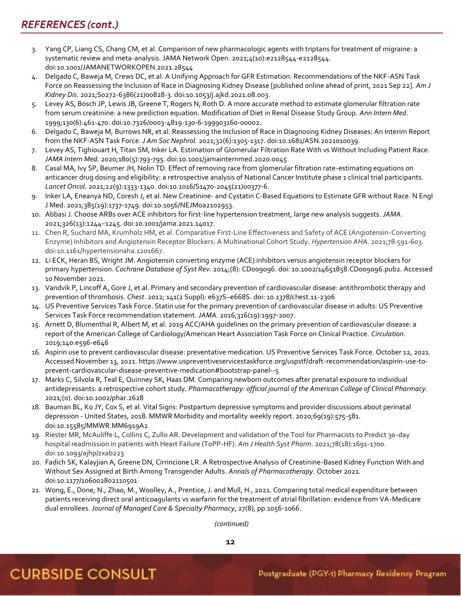### REFERENCES (cont.)

- 3. Yang CP, Liang CS, Chang CM, et al. Comparison of new pharmacologic agents with triptans for treatment of migraine: a systematic review and meta-analysis. JAMA Network Open. 2021;4(10):e2128544-e2128544. doi:10.1001/JAMANETWORKOPEN.2021.28544
- 4. Delgado C, Baweja M, Crews DC, et al. A Unifying Approach for GFR Estimation: Recommendations of the NKF-ASN Task Force on Reassessing the Inclusion of Race in Diagnosing Kidney Disease [published online ahead of print, 2021 Sep 22]. *Am J Kidney Dis.* 2021;S0272-6386(21)00828-3. doi:10.1053/j.ajkd.2021.08.003.
- 5. Levey AS, Bosch JP, Lewis JB, Greene T, Rogers N, Roth D. A more accurate method to estimate glomerular filtration rate from serum creatinine: a new prediction equation. Modification of Diet in Renal Disease Study Group. *Ann Intern Med*. 1999;130(6):461-470. doi:10.7326/0003-4819-130-6-199903160-00002.
- 6. Delgado C, Baweja M, Burrows NR, et al. Reassessing the Inclusion of Race in Diagnosing Kidney Diseases: An Interim Report from the NKF-ASN Task Force. *J Am Soc Nephrol.* 2021;32(6):1305-1317. doi:10.1681/ASN.2021010039.
- 7. Levey AS, Tighiouart H, Titan SM, Inker LA. Estimation of Glomerular Filtration Rate With vs Without Including Patient Race. *JAMA Intern Med*. 2020;180(5):793-795. doi:10.1001/jamainternmed.2020.0045
- 8. Casal MA, Ivy SP, Beumer JH, Nolin TD. Effect of removing race from glomerular filtration rate-estimating equations on anticancer drug dosing and eligibility: a retrospective analysis of National Cancer Institute phase 1 clinical trial participants. *Lancet Oncol.* 2021;22(9):1333-1340. doi:10.1016/S1470-2045(21)00377-6.
- 9. Inker LA, Eneanya ND, Coresh J, et al. New Creatinine- and Cystatin C-Based Equations to Estimate GFR without Race. N Engl J Med. 2021;385(19):1737-1749. doi:10.1056/NEJMoa2102953.
- 10. Abbasi J. Choose ARBs over ACE inhibitors for first-line hypertension treatment, large new analysis suggests. *JAMA.* 2021;326(13):1244–1245. doi:10.1001/jama.2021.14017.
- 11. Chen R, Suchard MA, Krumholz HM, et al. Comparative First-Line Effectiveness and Safety of ACE (Angiotensin-Converting Enzyme) Inhibitors and Angiotensin Receptor Blockers: A Multinational Cohort Study. *Hypertension AHA.* 2021;78:591-603. doi:10.1161/hypertensionaha.1201667.
- 12. Li ECK, Heran BS, Wright JM. Angiotensin converting enzyme (ACE) inhibitors versus angiotensin receptor blockers for primary hypertension. *Cochrane Database of Syst Rev*. 2014;(8): CD009096. doi: 10.1002/14651858.CD009096.pub2. Accessed 10 November 2021.
- 13. Vandvik P, Lincoff A, Gore J, et al. Primary and secondary prevention of cardiovascular disease: antithrombotic therapy and prevention of thrombosis. *Chest*. 2012; 141(2 Suppl): e637S–e668S. doi: 10.1378/chest.11-2306
- 14. US Preventive Services Task Force. Statin use for the primary prevention of cardiovascular disease in adults: US Preventive Services Task Force recommendation statement. *JAMA.* 2016;316(19):1997-2007.
- 15. Arnett D, Blumenthal R, Albert M, et al. 2019 ACC/AHA guidelines on the primary prevention of cardiovascular disease: a report of the American College of Cardiology/American Heart Association Task Force on Clinical Practice. *Circulation*. 2019;140:e596-e646
- 16. Aspirin use to prevent cardiovascular disease: preventative medication. US Preventive Services Task Force. October 12, 2021. Accessed November 13, 2021. https://www.uspreventiveservicestaskforce.org/uspstf/draft-recommendation/aspirin-use-toprevent-cardiovascular-disease-preventive-medication#bootstrap-panel--5
- 17. Marks C, Silvola R, Teal E, Quinney SK, Haas DM. Comparing newborn outcomes after prenatal exposure to individual antidepressants: a retrospective cohort study. *Pharmacotherapy: official journal of the American College of Clinical Pharmacy*. 2021;(0). doi:10.1002/phar.2628
- 18. Bauman BL, Ko JY, Cox S, et al. Vital Signs: Postpartum depressive symptoms and provider discussions about perinatal depression - United States, 2018. MMWR Morbidity and mortality weekly report. 2020;69(19):575-581. doi:10.15585/MMWR.MM6919A2
- 19. Riester MR, McAuliffe L, Collins C, Zullo AR. Development and validation of the Tool for Pharmacists to Predict 30-day hospital readmission in patients with Heart Failure (ToPP-HF). *Am J Health Syst Pharm*. 2021;78(18):1691-1700. doi:10.1093/ajhp/zxab223
- 20. Fadich SK, Kalayjian A, Greene DN, Cirrincione LR. A Retrospective Analysis of Creatinine-Based Kidney Function With and Without Sex Assigned at Birth Among Transgender Adults. *Annals of Pharmacotherapy*. October 2021. doi:10.1177/106002802110501
- 21. Wong, E., Done, N., Zhao, M., Woolley, A., Prentice, J. and Mull, H., 2021. Comparing total medical expenditure between patients receiving direct oral anticoagulants vs warfarin for the treatment of atrial fibrillation: evidence from VA-Medicare dual enrollees. *Journal of Managed Care & Specialty Pharmacy*, 27(8), pp.1056-1066.

 *(continued)*

**12**